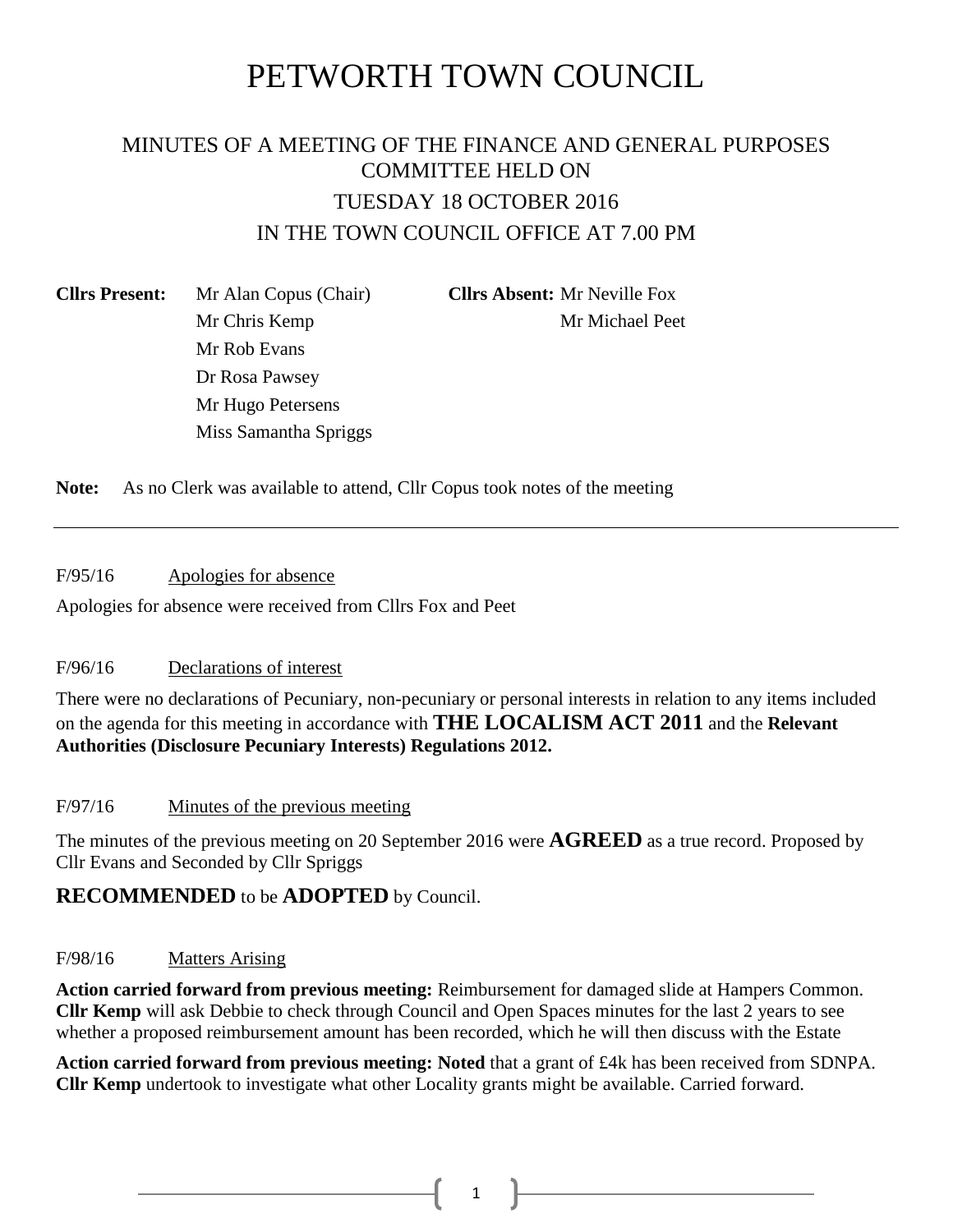# PETWORTH TOWN COUNCIL

## MINUTES OF A MEETING OF THE FINANCE AND GENERAL PURPOSES COMMITTEE HELD ON TUESDAY 18 OCTOBER 2016 IN THE TOWN COUNCIL OFFICE AT 7.00 PM

**Cllrs Present:** Mr Alan Copus (Chair) **Cllrs Absent:** Mr Neville Fox Mr Rob Evans Dr Rosa Pawsey Mr Hugo Petersens Miss Samantha Spriggs

Mr Chris Kemp Mr Michael Peet

**Note:** As no Clerk was available to attend, Cllr Copus took notes of the meeting

F/95/16 Apologies for absence

Apologies for absence were received from Cllrs Fox and Peet

#### F/96/16 Declarations of interest

There were no declarations of Pecuniary, non-pecuniary or personal interests in relation to any items included on the agenda for this meeting in accordance with **THE LOCALISM ACT 2011** and the **Relevant Authorities (Disclosure Pecuniary Interests) Regulations 2012.**

#### F/97/16 Minutes of the previous meeting

The minutes of the previous meeting on 20 September 2016 were **AGREED** as a true record. Proposed by Cllr Evans and Seconded by Cllr Spriggs

#### **RECOMMENDED** to be **ADOPTED** by Council.

#### F/98/16 Matters Arising

**Action carried forward from previous meeting:** Reimbursement for damaged slide at Hampers Common. **Cllr Kemp** will ask Debbie to check through Council and Open Spaces minutes for the last 2 years to see whether a proposed reimbursement amount has been recorded, which he will then discuss with the Estate

**Action carried forward from previous meeting: Noted** that a grant of £4k has been received from SDNPA. **Cllr Kemp** undertook to investigate what other Locality grants might be available. Carried forward.

 $1 \quad \parallel$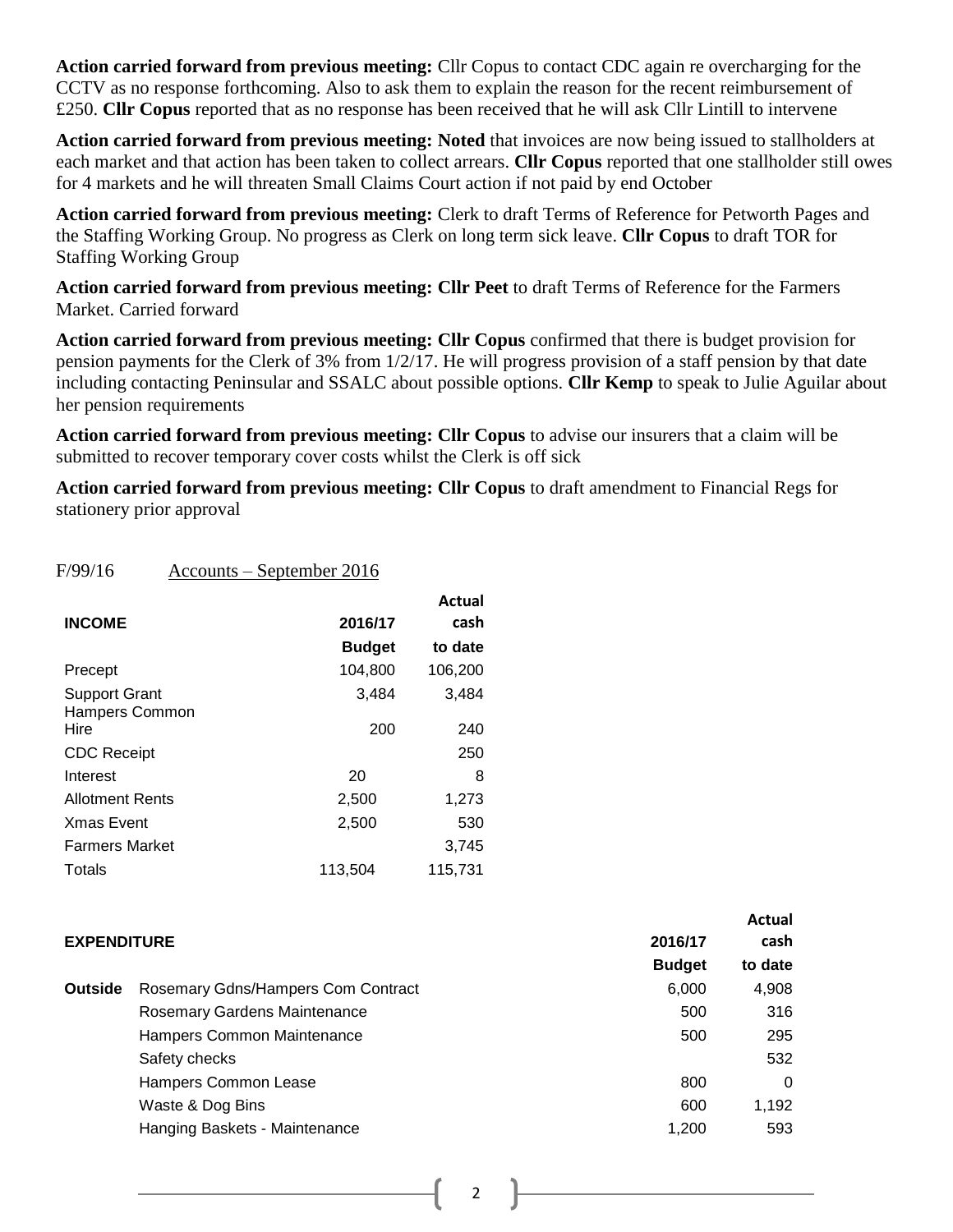**Action carried forward from previous meeting:** Cllr Copus to contact CDC again re overcharging for the CCTV as no response forthcoming. Also to ask them to explain the reason for the recent reimbursement of £250. **Cllr Copus** reported that as no response has been received that he will ask Cllr Lintill to intervene

**Action carried forward from previous meeting: Noted** that invoices are now being issued to stallholders at each market and that action has been taken to collect arrears. **Cllr Copus** reported that one stallholder still owes for 4 markets and he will threaten Small Claims Court action if not paid by end October

**Action carried forward from previous meeting:** Clerk to draft Terms of Reference for Petworth Pages and the Staffing Working Group. No progress as Clerk on long term sick leave. **Cllr Copus** to draft TOR for Staffing Working Group

**Action carried forward from previous meeting: Cllr Peet** to draft Terms of Reference for the Farmers Market. Carried forward

**Action carried forward from previous meeting: Cllr Copus** confirmed that there is budget provision for pension payments for the Clerk of 3% from 1/2/17. He will progress provision of a staff pension by that date including contacting Peninsular and SSALC about possible options. **Cllr Kemp** to speak to Julie Aguilar about her pension requirements

**Action carried forward from previous meeting: Cllr Copus** to advise our insurers that a claim will be submitted to recover temporary cover costs whilst the Clerk is off sick

**Action carried forward from previous meeting: Cllr Copus** to draft amendment to Financial Regs for stationery prior approval

| F/99/16                                | <u> Accounts – September 2016</u> |                |
|----------------------------------------|-----------------------------------|----------------|
| <b>INCOME</b>                          | 2016/17                           | Actual<br>cash |
|                                        | <b>Budget</b>                     | to date        |
| Precept                                | 104,800                           | 106,200        |
| Support Grant<br><b>Hampers Common</b> | 3,484                             | 3,484          |
| Hire                                   | 200                               | 240            |
| <b>CDC Receipt</b>                     |                                   | 250            |
| Interest                               | 20                                | 8              |
| <b>Allotment Rents</b>                 | 2,500                             | 1,273          |
| <b>Xmas Event</b>                      | 2,500                             | 530            |
| <b>Farmers Market</b>                  |                                   | 3,745          |
| Totals                                 | 113,504                           | 115,731        |

|                    |                                     |               | Actual   |
|--------------------|-------------------------------------|---------------|----------|
| <b>EXPENDITURE</b> |                                     | 2016/17       | cash     |
|                    |                                     | <b>Budget</b> | to date  |
| <b>Outside</b>     | Rosemary Gdns/Hampers Com Contract  | 6,000         | 4,908    |
|                    | <b>Rosemary Gardens Maintenance</b> | 500           | 316      |
|                    | Hampers Common Maintenance          | 500           | 295      |
|                    | Safety checks                       |               | 532      |
|                    | Hampers Common Lease                | 800           | $\Omega$ |
|                    | Waste & Dog Bins                    | 600           | 1,192    |
|                    | Hanging Baskets - Maintenance       | 1,200         | 593      |

2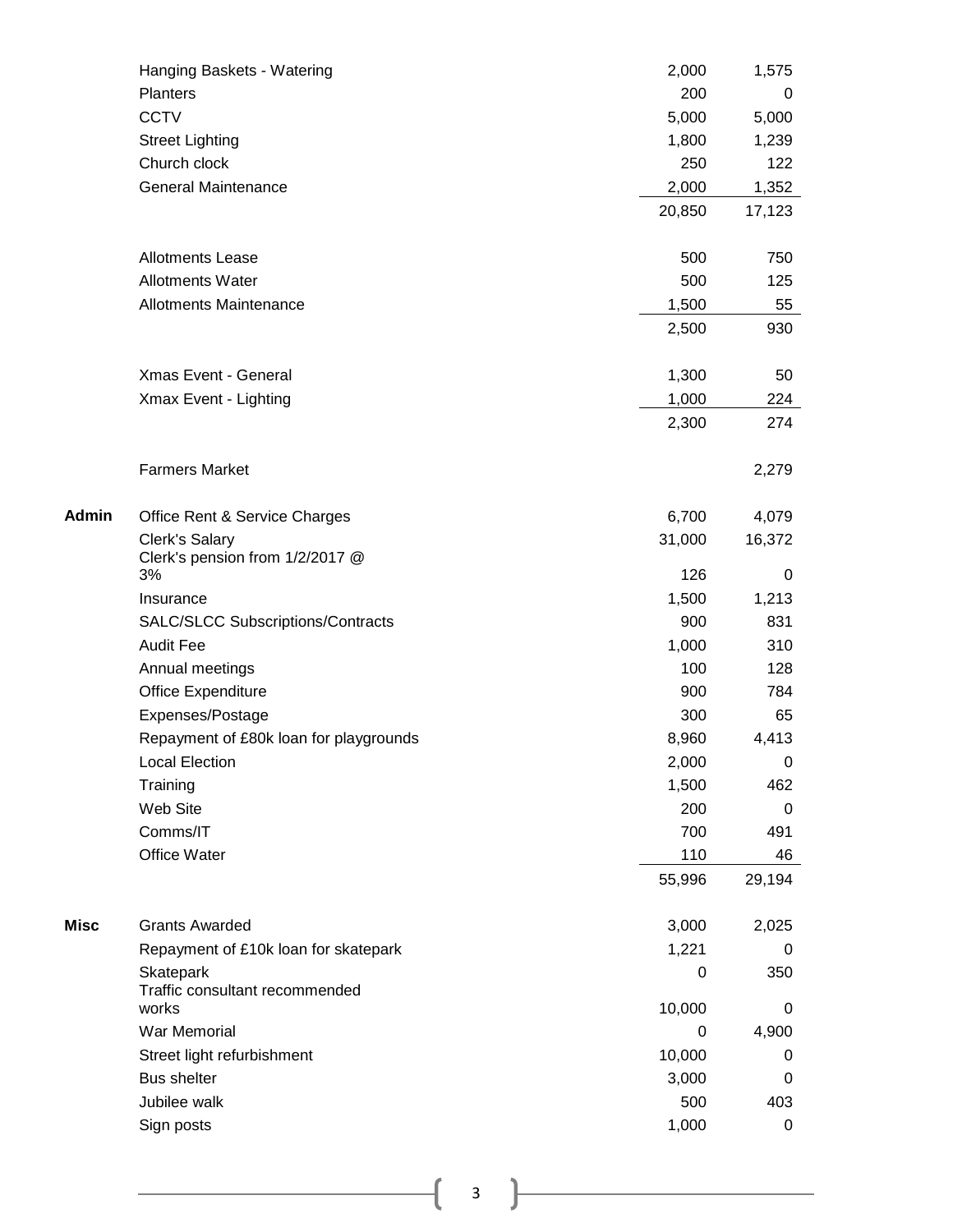|       | Hanging Baskets - Watering                  | 2,000  | 1,575      |
|-------|---------------------------------------------|--------|------------|
|       | Planters                                    | 200    | 0          |
|       | <b>CCTV</b>                                 | 5,000  | 5,000      |
|       | <b>Street Lighting</b>                      | 1,800  | 1,239      |
|       | Church clock                                | 250    | 122        |
|       | <b>General Maintenance</b>                  | 2,000  | 1,352      |
|       |                                             | 20,850 | 17,123     |
|       | <b>Allotments Lease</b>                     | 500    | 750        |
|       | <b>Allotments Water</b>                     | 500    | 125        |
|       | <b>Allotments Maintenance</b>               | 1,500  | 55         |
|       |                                             | 2,500  | 930        |
|       | <b>Xmas Event - General</b>                 | 1,300  | 50         |
|       | Xmax Event - Lighting                       | 1,000  | 224        |
|       |                                             | 2,300  | 274        |
|       | <b>Farmers Market</b>                       |        | 2,279      |
| Admin | Office Rent & Service Charges               | 6,700  | 4,079      |
|       | Clerk's Salary                              | 31,000 | 16,372     |
|       | Clerk's pension from 1/2/2017 @<br>3%       | 126    |            |
|       | Insurance                                   | 1,500  | 0<br>1,213 |
|       | SALC/SLCC Subscriptions/Contracts           | 900    | 831        |
|       | <b>Audit Fee</b>                            | 1,000  | 310        |
|       | Annual meetings                             | 100    | 128        |
|       | Office Expenditure                          | 900    | 784        |
|       | Expenses/Postage                            | 300    | 65         |
|       | Repayment of £80k loan for playgrounds      | 8,960  | 4,413      |
|       | <b>Local Election</b>                       | 2,000  | 0          |
|       | Training                                    | 1,500  | 462        |
|       | Web Site                                    | 200    | 0          |
|       | Comms/IT                                    | 700    | 491        |
|       | Office Water                                | 110    | 46         |
|       |                                             | 55,996 | 29,194     |
| Misc  | <b>Grants Awarded</b>                       | 3,000  | 2,025      |
|       | Repayment of £10k loan for skatepark        | 1,221  | 0          |
|       | Skatepark<br>Traffic consultant recommended | 0      | 350        |
|       | works                                       | 10,000 | 0          |
|       | War Memorial                                | 0      | 4,900      |
|       | Street light refurbishment                  | 10,000 | 0          |
|       | <b>Bus shelter</b>                          | 3,000  | 0          |
|       | Jubilee walk                                | 500    | 403        |
|       | Sign posts                                  | 1,000  | 0          |

 $\begin{pmatrix} 3 \end{pmatrix}$ 

÷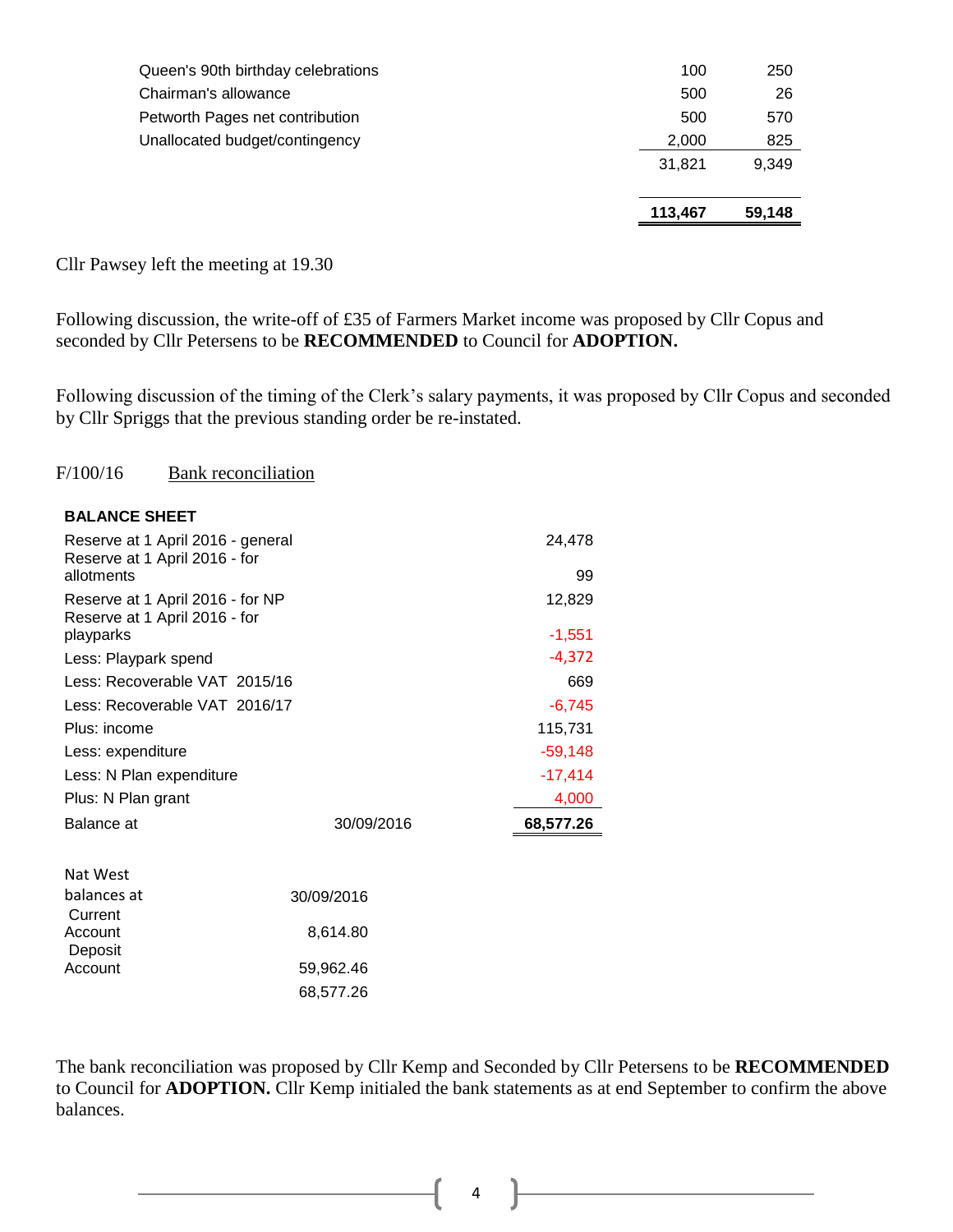|        | 59.148 |
|--------|--------|
| 31.821 | 9,349  |
| 2,000  | 825    |
| 500    | 570    |
| 500    | 26     |
| 100    | 250    |
|        |        |

Cllr Pawsey left the meeting at 19.30

Following discussion, the write-off of £35 of Farmers Market income was proposed by Cllr Copus and seconded by Cllr Petersens to be **RECOMMENDED** to Council for **ADOPTION.**

Following discussion of the timing of the Clerk's salary payments, it was proposed by Cllr Copus and seconded by Cllr Spriggs that the previous standing order be re-instated.

#### F/100/16 Bank reconciliation

| Reserve at 1 April 2016 - general<br>Reserve at 1 April 2016 - for |            | 24,478    |
|--------------------------------------------------------------------|------------|-----------|
| allotments                                                         |            | 99        |
| Reserve at 1 April 2016 - for NP<br>Reserve at 1 April 2016 - for  |            | 12,829    |
| playparks                                                          |            | $-1,551$  |
| Less: Playpark spend                                               |            | $-4,372$  |
| Less: Recoverable VAT 2015/16                                      | 669        |           |
| Less: Recoverable VAT 2016/17                                      | $-6,745$   |           |
| Plus: income                                                       | 115,731    |           |
| Less: expenditure                                                  | $-59,148$  |           |
| Less: N Plan expenditure                                           |            | $-17,414$ |
| Plus: N Plan grant                                                 |            | 4,000     |
| Balance at                                                         | 30/09/2016 | 68,577.26 |
| Nat West                                                           |            |           |
| balances at<br>30/09/2016                                          |            |           |
| Current                                                            |            |           |
| Account                                                            | 8,614.80   |           |
| Deposit<br>Account                                                 | 59,962.46  |           |
|                                                                    | 68,577.26  |           |

The bank reconciliation was proposed by Cllr Kemp and Seconded by Cllr Petersens to be **RECOMMENDED**  to Council for **ADOPTION.** Cllr Kemp initialed the bank statements as at end September to confirm the above balances.

4 ]

 $\mathcal{L}$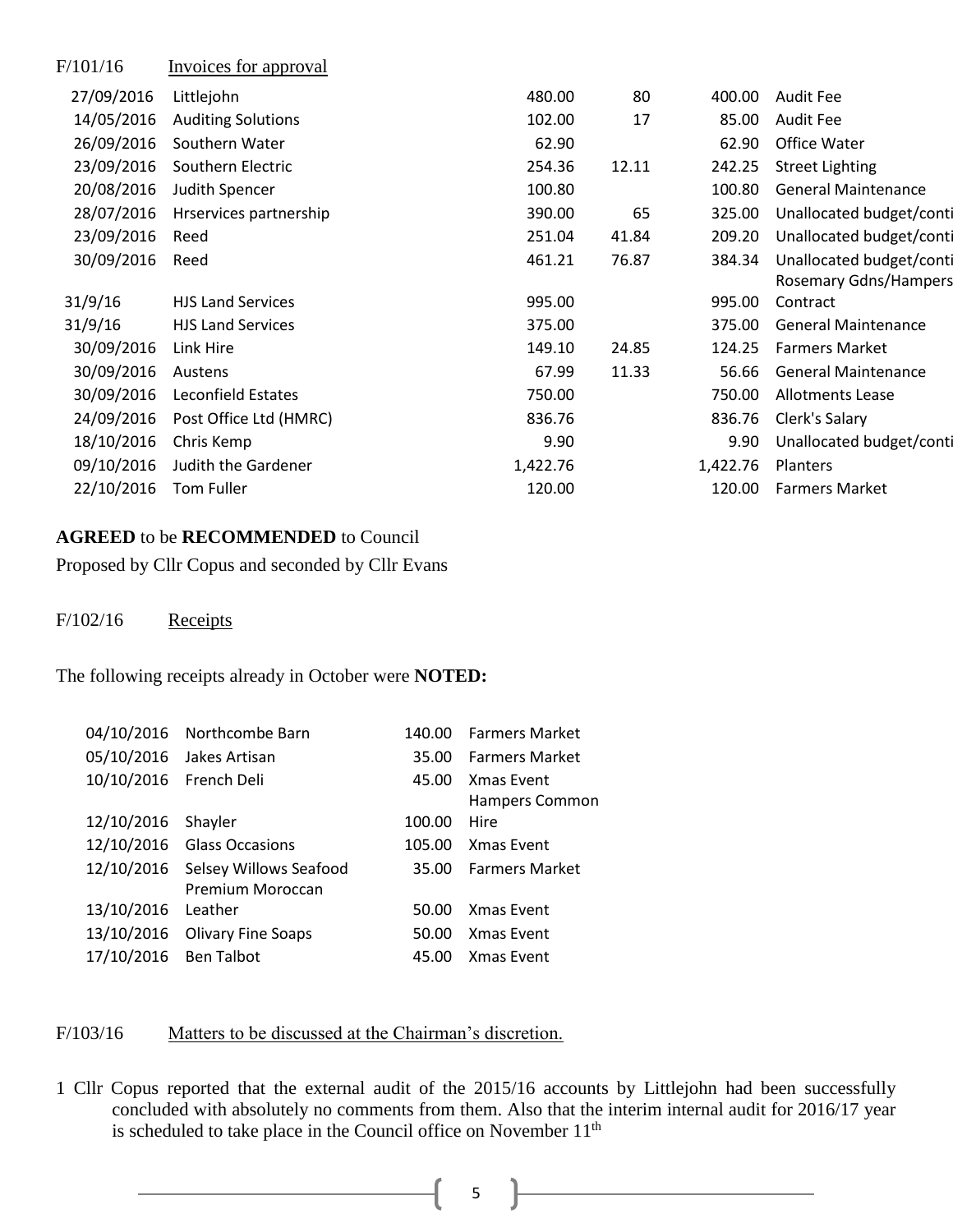| F/101/16   | Invoices for approval     |          |       |          |                              |
|------------|---------------------------|----------|-------|----------|------------------------------|
| 27/09/2016 | Littlejohn                | 480.00   | 80    | 400.00   | <b>Audit Fee</b>             |
| 14/05/2016 | <b>Auditing Solutions</b> | 102.00   | 17    | 85.00    | <b>Audit Fee</b>             |
| 26/09/2016 | Southern Water            | 62.90    |       | 62.90    | Office Water                 |
| 23/09/2016 | Southern Electric         | 254.36   | 12.11 | 242.25   | <b>Street Lighting</b>       |
| 20/08/2016 | Judith Spencer            | 100.80   |       | 100.80   | <b>General Maintenance</b>   |
| 28/07/2016 | Hrservices partnership    | 390.00   | 65    | 325.00   | Unallocated budget/conti     |
| 23/09/2016 | Reed                      | 251.04   | 41.84 | 209.20   | Unallocated budget/conti     |
| 30/09/2016 | Reed                      | 461.21   | 76.87 | 384.34   | Unallocated budget/conti     |
|            |                           |          |       |          | <b>Rosemary Gdns/Hampers</b> |
| 31/9/16    | <b>HJS Land Services</b>  | 995.00   |       | 995.00   | Contract                     |
| 31/9/16    | <b>HJS Land Services</b>  | 375.00   |       | 375.00   | <b>General Maintenance</b>   |
| 30/09/2016 | Link Hire                 | 149.10   | 24.85 | 124.25   | <b>Farmers Market</b>        |
| 30/09/2016 | Austens                   | 67.99    | 11.33 | 56.66    | <b>General Maintenance</b>   |
| 30/09/2016 | Leconfield Estates        | 750.00   |       | 750.00   | Allotments Lease             |
| 24/09/2016 | Post Office Ltd (HMRC)    | 836.76   |       | 836.76   | Clerk's Salary               |
| 18/10/2016 | Chris Kemp                | 9.90     |       | 9.90     | Unallocated budget/conti     |
| 09/10/2016 | Judith the Gardener       | 1,422.76 |       | 1,422.76 | Planters                     |
| 22/10/2016 | <b>Tom Fuller</b>         | 120.00   |       | 120.00   | <b>Farmers Market</b>        |
|            |                           |          |       |          |                              |

#### **AGREED** to be **RECOMMENDED** to Council

Proposed by Cllr Copus and seconded by Cllr Evans

#### $F/102/16$  Receipts

The following receipts already in October were **NOTED:**

|                        | 04/10/2016 Northcombe Barn        | 140.00 | <b>Farmers Market</b> |
|------------------------|-----------------------------------|--------|-----------------------|
|                        | 05/10/2016 Jakes Artisan          |        | 35.00 Farmers Market  |
| 10/10/2016 French Deli |                                   | 45.00  | Xmas Event            |
|                        |                                   |        | Hampers Common        |
| 12/10/2016 Shayler     |                                   | 100.00 | Hire                  |
|                        | 12/10/2016 Glass Occasions        | 105.00 | Xmas Event            |
|                        | 12/10/2016 Selsey Willows Seafood |        | 35.00 Farmers Market  |
|                        | Premium Moroccan                  |        |                       |
| 13/10/2016             | Leather                           | 50.00  | Xmas Event            |
|                        | 13/10/2016 Olivary Fine Soaps     | 50.00  | Xmas Event            |
| 17/10/2016 Ben Talbot  |                                   | 45.00  | <b>Xmas Event</b>     |
|                        |                                   |        |                       |

### F/103/16 Matters to be discussed at the Chairman's discretion.

1 Cllr Copus reported that the external audit of the 2015/16 accounts by Littlejohn had been successfully concluded with absolutely no comments from them. Also that the interim internal audit for 2016/17 year is scheduled to take place in the Council office on November  $11<sup>th</sup>$ 

5